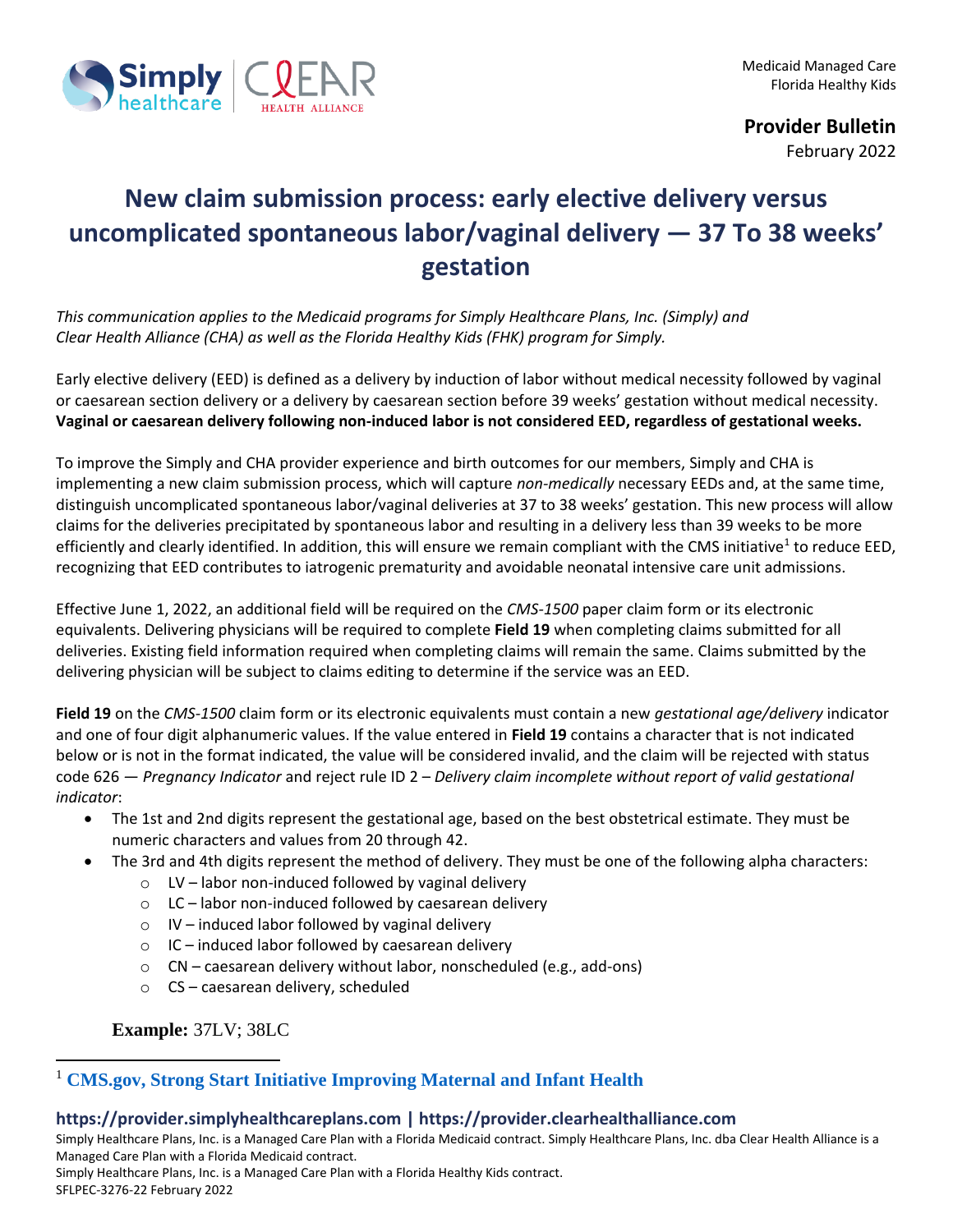

**Provider Bulletin**

February 2022

## **New claim submission process: early elective delivery versus uncomplicated spontaneous labor/vaginal delivery — 37 To 38 weeks' gestation**

*This communication applies to the Medicaid programs for Simply Healthcare Plans, Inc. (Simply) and Clear Health Alliance (CHA) as well as the Florida Healthy Kids (FHK) program for Simply.*

Early elective delivery (EED) is defined as a delivery by induction of labor without medical necessity followed by vaginal or caesarean section delivery or a delivery by caesarean section before 39 weeks' gestation without medical necessity. **Vaginal or caesarean delivery following non-induced labor is not considered EED, regardless of gestational weeks.**

To improve the Simply and CHA provider experience and birth outcomes for our members, Simply and CHA is implementing a new claim submission process, which will capture *non-medically* necessary EEDs and, at the same time, distinguish uncomplicated spontaneous labor/vaginal deliveries at 37 to 38 weeks' gestation. This new process will allow claims for the deliveries precipitated by spontaneous labor and resulting in a delivery less than 39 weeks to be more efficiently and clearly identified. In addition, this will ensure we remain compliant with the CMS initiative<sup>1</sup> to reduce EED, recognizing that EED contributes to iatrogenic prematurity and avoidable neonatal intensive care unit admissions.

Effective June 1, 2022, an additional field will be required on the *CMS-1500* paper claim form or its electronic equivalents. Delivering physicians will be required to complete **Field 19** when completing claims submitted for all deliveries. Existing field information required when completing claims will remain the same. Claims submitted by the delivering physician will be subject to claims editing to determine if the service was an EED.

**Field 19** on the *CMS-1500* claim form or its electronic equivalents must contain a new *gestational age/delivery* indicator and one of four digit alphanumeric values. If the value entered in **Field 19** contains a character that is not indicated below or is not in the format indicated, the value will be considered invalid, and the claim will be rejected with status code 626 *— Pregnancy Indicator* and reject rule ID 2 – *Delivery claim incomplete without report of valid gestational indicator*:

- The 1st and 2nd digits represent the gestational age, based on the best obstetrical estimate. They must be numeric characters and values from 20 through 42.
- The 3rd and 4th digits represent the method of delivery. They must be one of the following alpha characters:
	- o LV labor non-induced followed by vaginal delivery
	- $\circ$  LC labor non-induced followed by caesarean delivery
	- o IV induced labor followed by vaginal delivery
	- $\circ$  IC induced labor followed by caesarean delivery
	- o CN caesarean delivery without labor, nonscheduled (e.g., add-ons)
	- o CS caesarean delivery, scheduled

## **Example:** 37LV; 38LC

## <sup>1</sup> **[CMS.gov, Strong Start Initiative Improving Maternal and Infant Health](https://innovation.cms.gov/innovation-models/strong-start)**

## **https://provider.simplyhealthcareplans.com | https://provider.clearhealthalliance.com**

Simply Healthcare Plans, Inc. is a Managed Care Plan with a Florida Medicaid contract. Simply Healthcare Plans, Inc. dba Clear Health Alliance is a Managed Care Plan with a Florida Medicaid contract.

Simply Healthcare Plans, Inc. is a Managed Care Plan with a Florida Healthy Kids contract.

SFLPEC-3276-22 February 2022